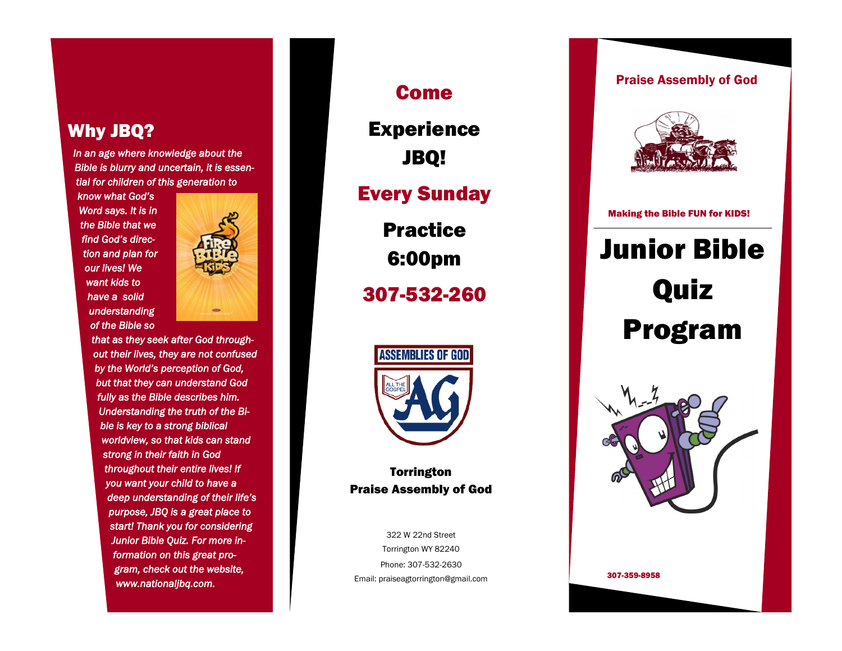# Why JBQ?

*In an age where knowledge about the Bible is blurry and uncertain, it is essential for children of this generation to* 

*know what God's Word says. It is in the Bible that we find God's direction and plan for our lives! We want kids to have a solid understanding of the Bible so* 



*that as they seek after God throughout their lives, they are not confused by the World's perception of God, but that they can understand God fully as the Bible describes him. Understanding the truth of the Bible is key to a strong biblical worldview, so that kids can stand strong in their faith in God throughout their entire lives! If you want your child to have a deep understanding of their life's purpose, JBQ is a great place to start! Thank you for considering Junior Bible Quiz. For more information on this great program, check out the website, www.nationaljbq.com.* 

Come Experience JBQ! Every Sunday Practice 6:00pm 307 -532 -260



**Torrington** Praise Assembly of God

322 W 22nd Street Torrington WY 82240 Phone: 307 -532 -2630 Email: praiseagtorrington@gmail.com

## Praise Assembly of God



Making the Bible FUN for KIDS!

# Junior Bible Quiz Program